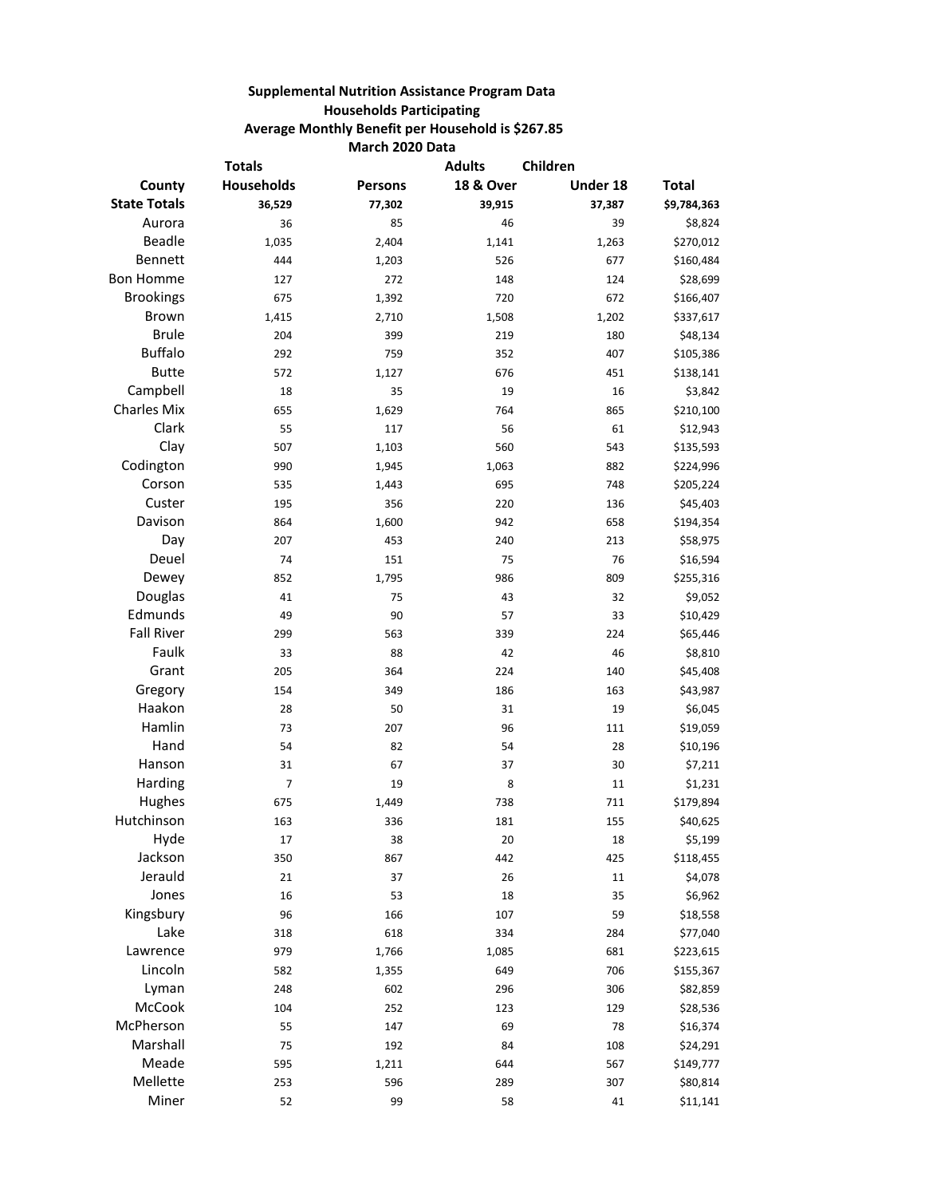## **Supplemental Nutrition Assistance Program Data Households Participating Average Monthly Benefit per Household is \$267.85 March 2020 Data**

| <b>Totals</b>       |                   |                | <b>Adults</b>        | Children |              |
|---------------------|-------------------|----------------|----------------------|----------|--------------|
| County              | <b>Households</b> | <b>Persons</b> | <b>18 &amp; Over</b> | Under 18 | <b>Total</b> |
| <b>State Totals</b> | 36,529            | 77,302         | 39,915               | 37,387   | \$9,784,363  |
| Aurora              | 36                | 85             | 46                   | 39       | \$8,824      |
| Beadle              | 1,035             | 2,404          | 1,141                | 1,263    | \$270,012    |
| Bennett             | 444               | 1,203          | 526                  | 677      | \$160,484    |
| <b>Bon Homme</b>    | 127               | 272            | 148                  | 124      | \$28,699     |
| <b>Brookings</b>    | 675               | 1,392          | 720                  | 672      | \$166,407    |
| Brown               | 1,415             | 2,710          | 1,508                | 1,202    | \$337,617    |
| <b>Brule</b>        | 204               | 399            | 219                  | 180      | \$48,134     |
| <b>Buffalo</b>      | 292               | 759            | 352                  | 407      | \$105,386    |
| <b>Butte</b>        | 572               | 1,127          | 676                  | 451      | \$138,141    |
| Campbell            | 18                | 35             | 19                   | 16       | \$3,842      |
| <b>Charles Mix</b>  | 655               | 1,629          | 764                  | 865      | \$210,100    |
| Clark               | 55                | 117            | 56                   | 61       | \$12,943     |
| Clay                | 507               | 1,103          | 560                  | 543      | \$135,593    |
| Codington           | 990               | 1,945          | 1,063                | 882      | \$224,996    |
| Corson              | 535               | 1,443          | 695                  | 748      | \$205,224    |
| Custer              | 195               | 356            | 220                  | 136      | \$45,403     |
| Davison             | 864               | 1,600          | 942                  | 658      | \$194,354    |
| Day                 | 207               | 453            | 240                  | 213      | \$58,975     |
| Deuel               | 74                | 151            | 75                   | 76       | \$16,594     |
| Dewey               | 852               | 1,795          | 986                  | 809      | \$255,316    |
| Douglas             | 41                | 75             | 43                   | 32       | \$9,052      |
| Edmunds             | 49                | 90             | 57                   | 33       | \$10,429     |
| <b>Fall River</b>   | 299               | 563            | 339                  | 224      | \$65,446     |
| Faulk               | 33                | 88             | 42                   | 46       | \$8,810      |
| Grant               | 205               | 364            | 224                  | 140      | \$45,408     |
| Gregory             | 154               | 349            | 186                  | 163      | \$43,987     |
| Haakon              | 28                | 50             | 31                   | 19       | \$6,045      |
| Hamlin              | 73                | 207            | 96                   | 111      | \$19,059     |
| Hand                | 54                | 82             | 54                   | 28       | \$10,196     |
| Hanson              | 31                | 67             | 37                   | 30       | \$7,211      |
| Harding             | $\overline{7}$    | 19             | 8                    | 11       | \$1,231      |
| Hughes              | 675               | 1,449          | 738                  | 711      | \$179,894    |
| Hutchinson          | 163               | 336            | 181                  | 155      | \$40,625     |
| Hyde                | 17                | 38             | 20                   | 18       | \$5,199      |
| Jackson             | 350               | 867            | 442                  | 425      | \$118,455    |
| Jerauld             | 21                | 37             | 26                   | $11\,$   | \$4,078      |
| Jones               | 16                | 53             | 18                   | 35       | \$6,962      |
| Kingsbury           | 96                | 166            | 107                  | 59       | \$18,558     |
| Lake                | 318               | 618            | 334                  | 284      | \$77,040     |
| Lawrence            | 979               | 1,766          | 1,085                | 681      | \$223,615    |
| Lincoln             | 582               | 1,355          | 649                  | 706      | \$155,367    |
| Lyman               | 248               | 602            | 296                  | 306      | \$82,859     |
| McCook              | 104               | 252            | 123                  | 129      | \$28,536     |
| McPherson           | 55                | 147            | 69                   | 78       | \$16,374     |
| Marshall            | 75                | 192            | 84                   | 108      | \$24,291     |
| Meade               | 595               | 1,211          | 644                  | 567      | \$149,777    |
| Mellette            | 253               | 596            | 289                  | 307      | \$80,814     |
| Miner               | 52                | 99             | 58                   | 41       | \$11,141     |